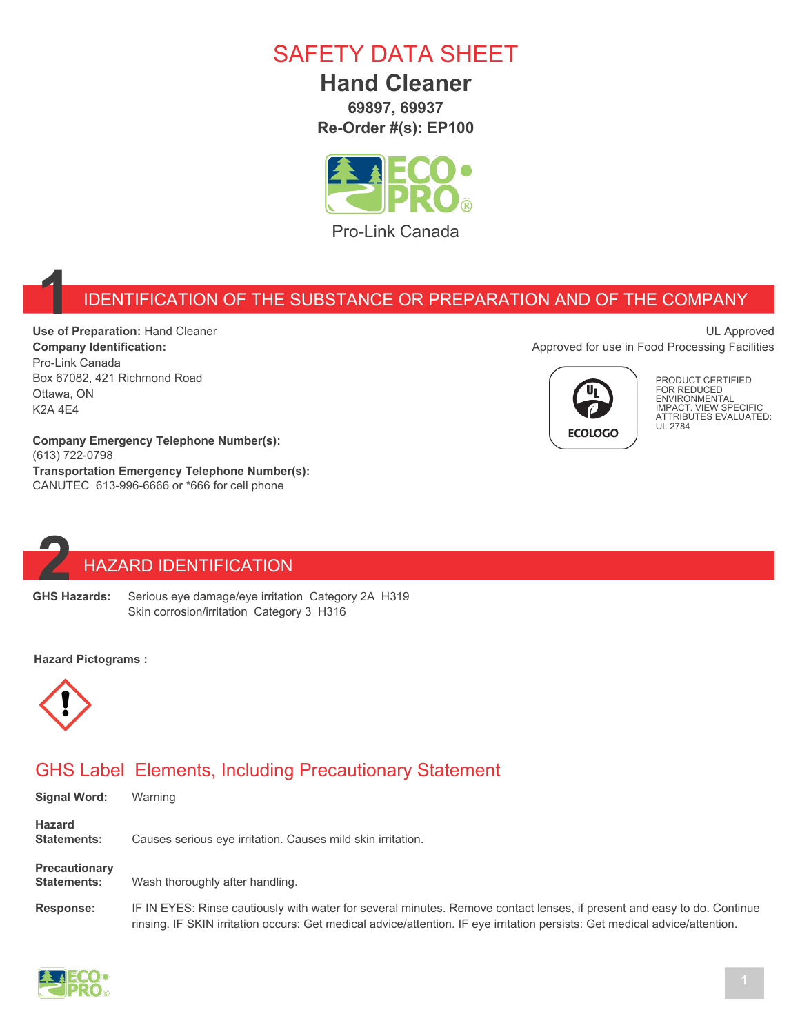## SAFETY DATA SHEET

### **Hand Cleaner**

**69897, 69937 Re-Order #(s): EP100**



Pro-Link Canada

#### **1** IDENTIFICATION OF THE SUBSTANCE OR PREPARATION AND OF THE COMPANY

**Use of Preparation:** Hand Cleaner **Company Identification:** Pro-Link Canada Box 67082, 421 Richmond Road Ottawa, ON K2A 4E4

**Company Emergency Telephone Number(s):** (613) 722-0798 **Transportation Emergency Telephone Number(s):** CANUTEC 613-996-6666 or \*666 for cell phone





PRODUCT CERTIFIED FOR REDUCED ENVIRONMENTAL IMPACT. VIEW SPECIFIC ATTRIBUTES EVALUATED: UL 2784

# **2** HAZARD IDENTIFICATION<br>**22 GHS Hazards:** Serious eye damage/eye irritation

Serious eye damage/eye irritation Category 2A H319 Skin corrosion/irritation Category 3 H316

#### **Hazard Pictograms :**



#### GHS Label Elements, Including Precautionary Statement

| <b>Signal Word:</b>                        | Warning                                                                                                                                                                                                                                                |
|--------------------------------------------|--------------------------------------------------------------------------------------------------------------------------------------------------------------------------------------------------------------------------------------------------------|
| <b>Hazard</b><br><b>Statements:</b>        | Causes serious eye irritation. Causes mild skin irritation.                                                                                                                                                                                            |
| <b>Precautionary</b><br><b>Statements:</b> | Wash thoroughly after handling.                                                                                                                                                                                                                        |
| <b>Response:</b>                           | IF IN EYES: Rinse cautiously with water for several minutes. Remove contact lenses, if present and easy to do. Continue<br>rinsing. IF SKIN irritation occurs: Get medical advice/attention. IF eye irritation persists: Get medical advice/attention. |

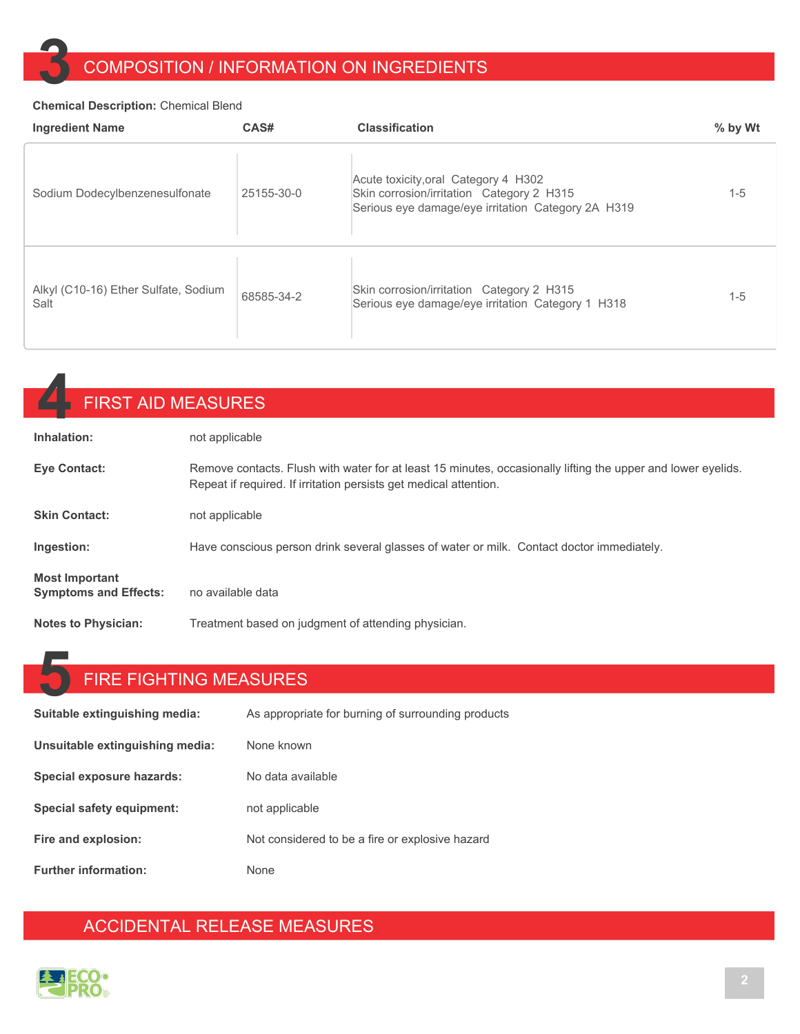### **3** COMPOSITION / INFORMATION ON INGREDIENTS

#### **Chemical Description:** Chemical Blend

| <b>Ingredient Name</b>                       | CAS#       | <b>Classification</b>                                                                                                                   | % by Wt |
|----------------------------------------------|------------|-----------------------------------------------------------------------------------------------------------------------------------------|---------|
| Sodium Dodecylbenzenesulfonate               | 25155-30-0 | Acute toxicity, oral Category 4 H302<br>Skin corrosion/irritation Category 2 H315<br>Serious eye damage/eye irritation Category 2A H319 | $1-5$   |
| Alkyl (C10-16) Ether Sulfate, Sodium<br>Salt | 68585-34-2 | Skin corrosion/irritation Category 2 H315<br>Serious eye damage/eye irritation Category 1 H318                                          | $1 - 5$ |

| <b>FIRST AID MEASURES</b>                             |                                                                                                                                                                                   |
|-------------------------------------------------------|-----------------------------------------------------------------------------------------------------------------------------------------------------------------------------------|
| Inhalation:                                           | not applicable                                                                                                                                                                    |
| <b>Eye Contact:</b>                                   | Remove contacts. Flush with water for at least 15 minutes, occasionally lifting the upper and lower eyelids.<br>Repeat if required. If irritation persists get medical attention. |
| <b>Skin Contact:</b>                                  | not applicable                                                                                                                                                                    |
| Ingestion:                                            | Have conscious person drink several glasses of water or milk. Contact doctor immediately.                                                                                         |
| <b>Most Important</b><br><b>Symptoms and Effects:</b> | no available data                                                                                                                                                                 |
| <b>Notes to Physician:</b>                            | Treatment based on judgment of attending physician.                                                                                                                               |

# **5** FIRE FIGHTING MEASURES

| Suitable extinguishing media:   | As appropriate for burning of surrounding products |
|---------------------------------|----------------------------------------------------|
| Unsuitable extinguishing media: | None known                                         |
| Special exposure hazards:       | No data available                                  |
| Special safety equipment:       | not applicable                                     |
| Fire and explosion:             | Not considered to be a fire or explosive hazard    |
| <b>Further information:</b>     | <b>None</b>                                        |

#### ACCIDENTAL RELEASE MEASURES

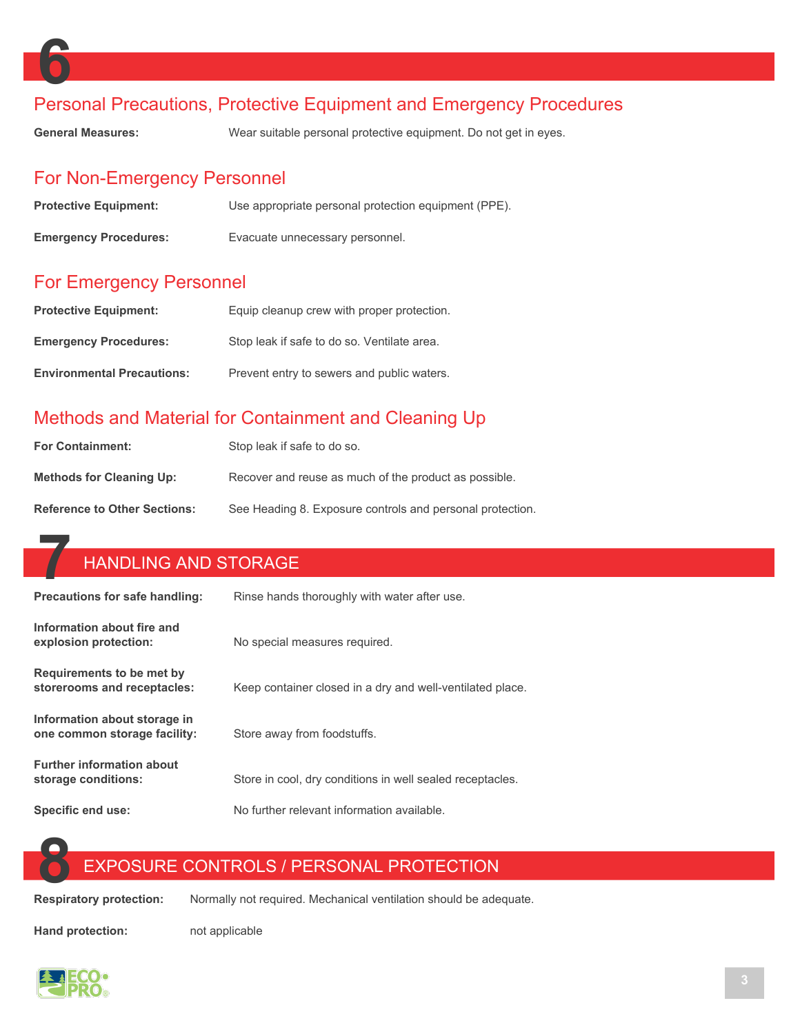

#### Personal Precautions, Protective Equipment and Emergency Procedures

**General Measures:** Wear suitable personal protective equipment. Do not get in eyes.

#### For Non-Emergency Personnel

| <b>Protective Equipment:</b> | Use appropriate personal protection equipment (PPE). |
|------------------------------|------------------------------------------------------|
| <b>Emergency Procedures:</b> | Evacuate unnecessary personnel.                      |

#### For Emergency Personnel

| <b>Protective Equipment:</b>      | Equip cleanup crew with proper protection.  |
|-----------------------------------|---------------------------------------------|
| <b>Emergency Procedures:</b>      | Stop leak if safe to do so. Ventilate area. |
| <b>Environmental Precautions:</b> | Prevent entry to sewers and public waters.  |

#### Methods and Material for Containment and Cleaning Up

| <b>For Containment:</b>             | Stop leak if safe to do so.                               |
|-------------------------------------|-----------------------------------------------------------|
| <b>Methods for Cleaning Up:</b>     | Recover and reuse as much of the product as possible.     |
| <b>Reference to Other Sections:</b> | See Heading 8. Exposure controls and personal protection. |

## **7** HANDLING AND STORAGE

| Precautions for safe handling:                               | Rinse hands thoroughly with water after use.              |
|--------------------------------------------------------------|-----------------------------------------------------------|
| Information about fire and<br>explosion protection:          | No special measures required.                             |
| Requirements to be met by<br>storerooms and receptacles:     | Keep container closed in a dry and well-ventilated place. |
| Information about storage in<br>one common storage facility: | Store away from foodstuffs.                               |
| <b>Further information about</b><br>storage conditions:      | Store in cool, dry conditions in well sealed receptacles. |
| Specific end use:                                            | No further relevant information available.                |

# **88 EXPOSURE CONTROLS / PERSONAL PROTECTION**<br>**Respiratory protection:** Normally not required. Mechanical ventilation should be ade

**Respiratory protection:** Normally not required. Mechanical ventilation should be adequate.

**Hand protection:** not applicable

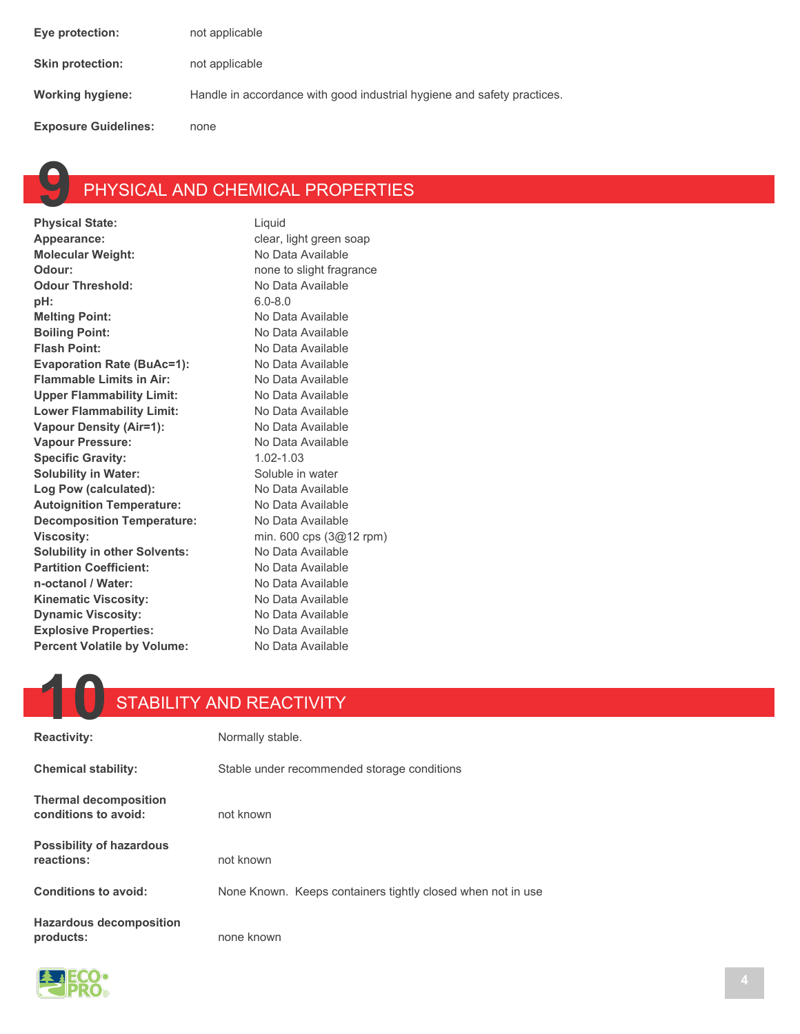| Eye protection:             | not applicable                                                          |
|-----------------------------|-------------------------------------------------------------------------|
| <b>Skin protection:</b>     | not applicable                                                          |
| Working hygiene:            | Handle in accordance with good industrial hygiene and safety practices. |
| <b>Exposure Guidelines:</b> | none                                                                    |



# **PHYSICAL AND CHEMICAL PROPERTIES**<br>State: Liquid

**Physical State:** Appearance: **clear** clear, light green soap **Molecular Weight:** No Data Available **Odour: none to slight fragrance Odour Threshold:** No Data Available **pH:** 6.0-8.0 **Melting Point:** No Data Available **Boiling Point:** No Data Available **Flash Point:** No Data Available Evaporation Rate (BuAc=1): No Data Available Flammable Limits in Air: No Data Available Upper Flammability Limit: No Data Available Lower Flammability Limit: No Data Available **Vapour Density (Air=1):** No Data Available Vapour Pressure: Mo Data Available **Specific Gravity:** 1.02-1.03 **Solubility in Water:** Soluble in water Log Pow (calculated): No Data Available Autoignition Temperature: No Data Available **Decomposition Temperature:** No Data Available **Viscosity:** min. 600 cps (3@12 rpm) **Solubility in other Solvents:** No Data Available Partition Coefficient: No Data Available **n-octanol / Water:** No Data Available Kinematic Viscosity: No Data Available **Dynamic Viscosity:** No Data Available **Explosive Properties:** No Data Available **Percent Volatile by Volume:** No Data Available

### **10** STABILITY AND REACTIVITY

| <b>Reactivity:</b>                                   | Normally stable.                                            |
|------------------------------------------------------|-------------------------------------------------------------|
| <b>Chemical stability:</b>                           | Stable under recommended storage conditions                 |
| <b>Thermal decomposition</b><br>conditions to avoid: | not known                                                   |
| <b>Possibility of hazardous</b><br>reactions:        | not known                                                   |
| Conditions to avoid:                                 | None Known. Keeps containers tightly closed when not in use |
| <b>Hazardous decomposition</b><br>products:          | none known                                                  |

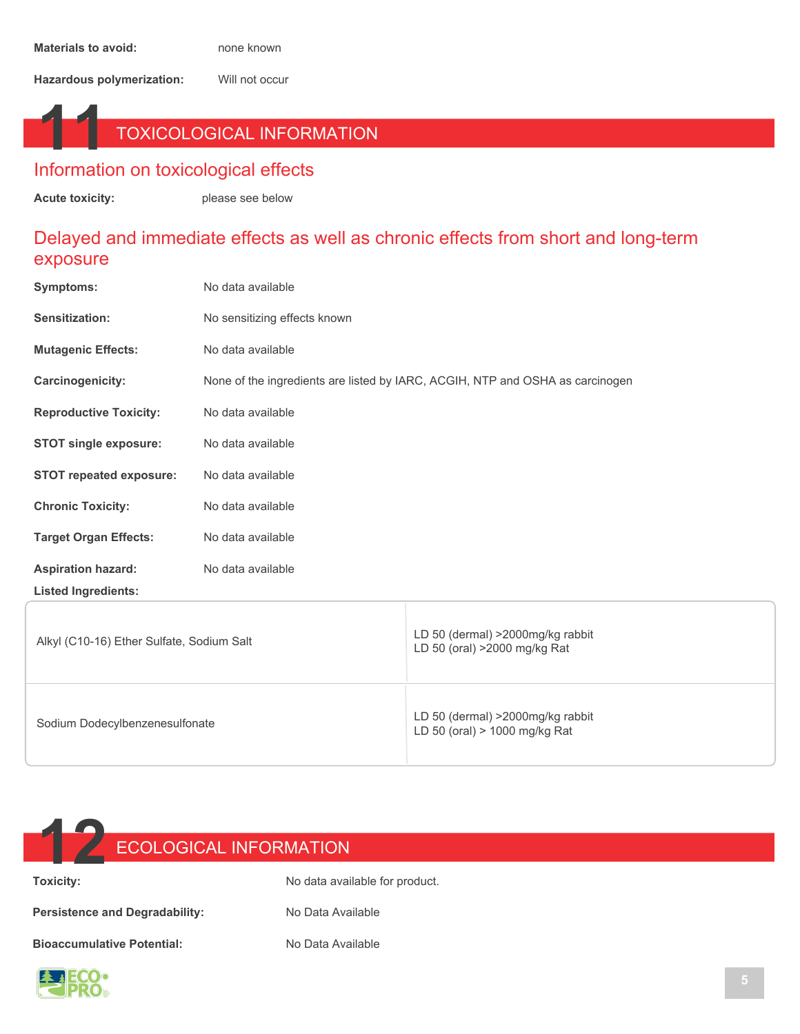**Hazardous polymerization:** Will not occur

### **11** TOXICOLOGICAL INFORMATION

#### Information on toxicological effects

**Acute toxicity:** please see below

#### Delayed and immediate effects as well as chronic effects from short and long-term exposure

| Symptoms:                                 | No data available                                                             |                                                                   |  |
|-------------------------------------------|-------------------------------------------------------------------------------|-------------------------------------------------------------------|--|
| Sensitization:                            | No sensitizing effects known                                                  |                                                                   |  |
| <b>Mutagenic Effects:</b>                 | No data available                                                             |                                                                   |  |
| <b>Carcinogenicity:</b>                   | None of the ingredients are listed by IARC, ACGIH, NTP and OSHA as carcinogen |                                                                   |  |
| <b>Reproductive Toxicity:</b>             | No data available                                                             |                                                                   |  |
| <b>STOT single exposure:</b>              | No data available                                                             |                                                                   |  |
| <b>STOT repeated exposure:</b>            | No data available                                                             |                                                                   |  |
| <b>Chronic Toxicity:</b>                  | No data available                                                             |                                                                   |  |
| <b>Target Organ Effects:</b>              | No data available                                                             |                                                                   |  |
| <b>Aspiration hazard:</b>                 | No data available                                                             |                                                                   |  |
| <b>Listed Ingredients:</b>                |                                                                               |                                                                   |  |
| Alkyl (C10-16) Ether Sulfate, Sodium Salt |                                                                               | LD 50 (dermal) >2000mg/kg rabbit<br>LD 50 (oral) >2000 mg/kg Rat  |  |
| Sodium Dodecylbenzenesulfonate            |                                                                               | LD 50 (dermal) >2000mg/kg rabbit<br>LD 50 (oral) > 1000 mg/kg Rat |  |



**Toxicity:** No data available for product.

Persistence and Degradability: No Data Available

**Bioaccumulative Potential:** No Data Available

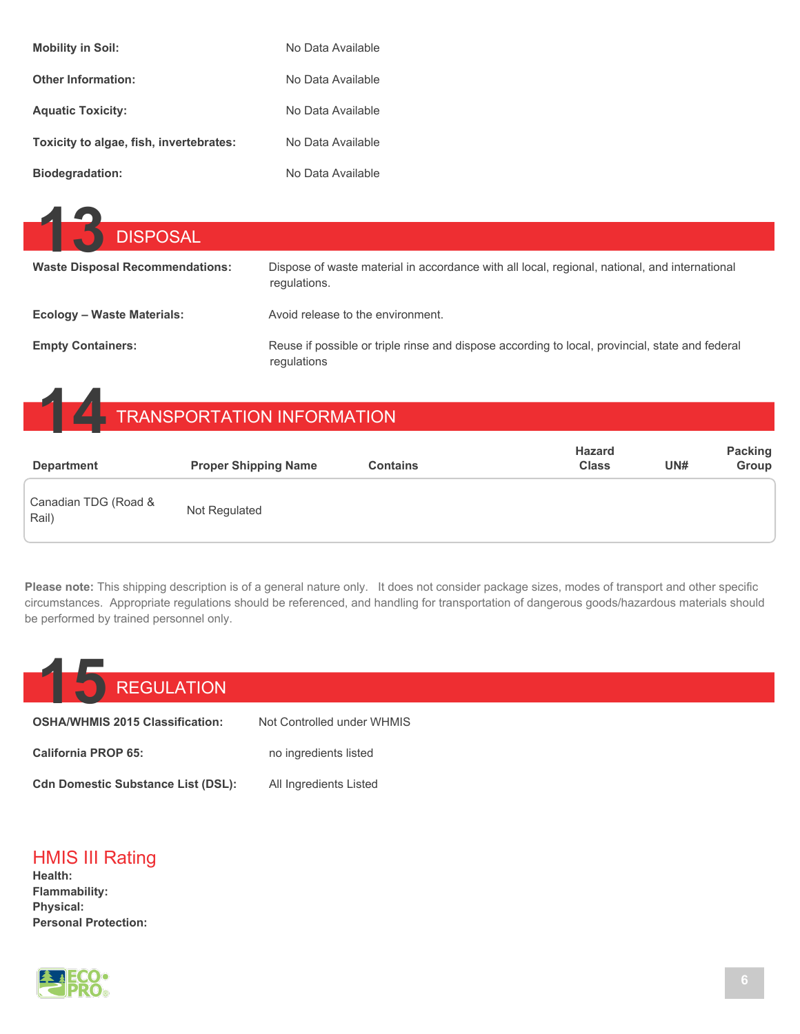| <b>Mobility in Soil:</b>                | No Data Available |
|-----------------------------------------|-------------------|
| <b>Other Information:</b>               | No Data Available |
| <b>Aquatic Toxicity:</b>                | No Data Available |
| Toxicity to algae, fish, invertebrates: | No Data Available |
| <b>Biodegradation:</b>                  | No Data Available |

| <b>DISPOSAL</b>                        |                                                                                                                |
|----------------------------------------|----------------------------------------------------------------------------------------------------------------|
| <b>Waste Disposal Recommendations:</b> | Dispose of waste material in accordance with all local, regional, national, and international<br>requlations.  |
| <b>Ecology - Waste Materials:</b>      | Avoid release to the environment.                                                                              |
| <b>Empty Containers:</b>               | Reuse if possible or triple rinse and dispose according to local, provincial, state and federal<br>regulations |

## **14** TRANSPORTATION INFORMATION

| <b>Department</b>             | <b>Proper Shipping Name</b> | <b>Contains</b> | <b>Hazard</b><br><b>Class</b> | UN# | <b>Packing</b><br>Group |
|-------------------------------|-----------------------------|-----------------|-------------------------------|-----|-------------------------|
| Canadian TDG (Road &<br>Rail) | Not Regulated               |                 |                               |     |                         |

**Please note:** This shipping description is of a general nature only. It does not consider package sizes, modes of transport and other specific circumstances. Appropriate regulations should be referenced, and handling for transportation of dangerous goods/hazardous materials should be performed by trained personnel only.

| <b>REGULATION</b>                         |                            |
|-------------------------------------------|----------------------------|
| <b>OSHA/WHMIS 2015 Classification:</b>    | Not Controlled under WHMIS |
| <b>California PROP 65:</b>                | no ingredients listed      |
| <b>Cdn Domestic Substance List (DSL):</b> | All Ingredients Listed     |

#### HMIS III Rating

**Health: Flammability: Physical: Personal Protection:**